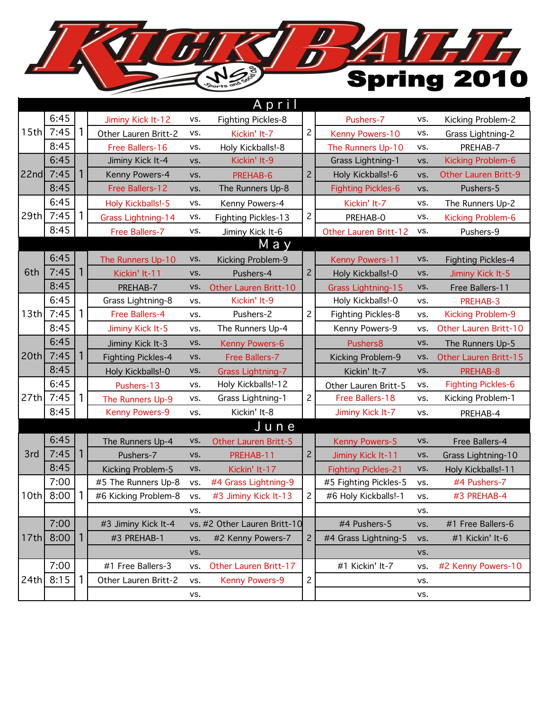## $\frac{D}{D}$ THTL U Spring 2010  $V_{\hat{\kappa}}$

|                      |      |   |                                         |     | April                        |                |                            |                                                                                                                                                                                                                                                                                                                      |                             |
|----------------------|------|---|-----------------------------------------|-----|------------------------------|----------------|----------------------------|----------------------------------------------------------------------------------------------------------------------------------------------------------------------------------------------------------------------------------------------------------------------------------------------------------------------|-----------------------------|
|                      | 6:45 |   | Jiminy Kick It-12                       | VS. | <b>Fighting Pickles-8</b>    |                | Pushers-7                  | VS.                                                                                                                                                                                                                                                                                                                  | Kicking Problem-2           |
| 15th                 | 7:45 |   | Other Lauren Britt-2                    | VS. | Kickin' It-7                 | $\overline{c}$ | Kenny Powers-10            | VS.                                                                                                                                                                                                                                                                                                                  | Grass Lightning-2           |
|                      | 8:45 |   | Free Ballers-16                         | VS. | Holy Kickballs!-8            |                | The Runners Up-10          | VS.                                                                                                                                                                                                                                                                                                                  | PREHAB-7                    |
|                      | 6:45 |   | Jiminy Kick It-4                        | VS. | Kickin' It-9                 |                | Grass Lightning-1          | VS.                                                                                                                                                                                                                                                                                                                  | Kicking Problem-6           |
| 22nd                 | 7:45 | 1 | Kenny Powers-4                          | VS. | PREHAB-6                     | $\overline{c}$ | Holy Kickballs!-6          | VS.                                                                                                                                                                                                                                                                                                                  | <b>Other Lauren Britt-9</b> |
|                      | 8:45 |   | Free Ballers-12                         | VS. | The Runners Up-8             |                | <b>Fighting Pickles-6</b>  | Pushers-5<br>VS.<br>VS.<br>VS.<br>Pushers-9<br>VS.<br>VS.<br>VS.<br>VS.<br>Free Ballers-11<br>PREHAB-3<br>VS.<br>VS.<br>VS.<br>VS.<br>VS.<br>PREHAB-8<br>VS.<br>VS.<br>VS.<br>VS.<br>PREHAB-4<br>Free Ballers-4<br>VS.<br>VS.<br>VS.<br>#4 Pushers-7<br>VS.<br>#3 PREHAB-4<br>VS.<br>VS.<br>#1 Free Ballers-6<br>VS. |                             |
| 6:45                 |      |   | Holy Kickballs!-5                       | VS. | Kenny Powers-4               |                | Kickin' It-7               |                                                                                                                                                                                                                                                                                                                      | The Runners Up-2            |
| 29th                 | 7:45 | 1 | Grass Lightning-14                      | VS. | Fighting Pickles-13          | $\mathbf{2}$   | PREHAB-0                   |                                                                                                                                                                                                                                                                                                                      | Kicking Problem-6           |
|                      | 8:45 |   | Free Ballers-7                          | VS. | Jiminy Kick It-6             |                | Other Lauren Britt-12      |                                                                                                                                                                                                                                                                                                                      |                             |
|                      |      |   |                                         |     | M a y                        |                |                            |                                                                                                                                                                                                                                                                                                                      |                             |
|                      | 6:45 |   | The Runners Up-10                       | VS. | Kicking Problem-9            | $\overline{c}$ | Kenny Powers-11            |                                                                                                                                                                                                                                                                                                                      | <b>Fighting Pickles-4</b>   |
| 6th                  | 7:45 |   | Kickin' It-11                           | VS. | Pushers-4                    |                | Holy Kickballs!-0          |                                                                                                                                                                                                                                                                                                                      | Jiminy Kick It-5            |
|                      | 8:45 |   | PREHAB-7                                | VS. | Other Lauren Britt-10        |                | <b>Grass Lightning-15</b>  |                                                                                                                                                                                                                                                                                                                      |                             |
|                      | 6:45 |   | Grass Lightning-8                       | VS. | Kickin' It-9                 | $\overline{c}$ | Holy Kickballs!-0          |                                                                                                                                                                                                                                                                                                                      |                             |
|                      | 7:45 | 1 | Free Ballers-4                          | VS. | Pushers-2                    |                | Fighting Pickles-8         |                                                                                                                                                                                                                                                                                                                      | Kicking Problem-9           |
|                      | 8:45 |   | Jiminy Kick It-5                        | VS. | The Runners Up-4             |                | Kenny Powers-9             |                                                                                                                                                                                                                                                                                                                      | Other Lauren Britt-10       |
|                      | 6:45 |   | Jiminy Kick It-3                        | VS. | Kenny Powers-6               |                | Pushers8                   |                                                                                                                                                                                                                                                                                                                      | The Runners Up-5            |
|                      | 7:45 | 1 | <b>Fighting Pickles-4</b>               | VS. | <b>Free Ballers-7</b>        |                | Kicking Problem-9          |                                                                                                                                                                                                                                                                                                                      | Other Lauren Britt-15       |
|                      | 8:45 |   | Holy Kickballs!-0                       | VS. | <b>Grass Lightning-7</b>     |                | Kickin' It-7               |                                                                                                                                                                                                                                                                                                                      |                             |
|                      | 6:45 |   | Holy Kickballs!-12<br>Pushers-13<br>VS. |     |                              |                | Other Lauren Britt-5       |                                                                                                                                                                                                                                                                                                                      | <b>Fighting Pickles-6</b>   |
| 13th<br>20th<br>27th | 7:45 |   | The Runners Up-9                        | VS. | Grass Lightning-1            | $\overline{c}$ | Free Ballers-18            |                                                                                                                                                                                                                                                                                                                      | Kicking Problem-1           |
|                      | 8:45 |   | <b>Kenny Powers-9</b>                   | VS. | Kickin' It-8                 |                | Jiminy Kick It-7           |                                                                                                                                                                                                                                                                                                                      |                             |
|                      |      |   |                                         |     | June                         |                |                            |                                                                                                                                                                                                                                                                                                                      |                             |
|                      | 6:45 |   | The Runners Up-4                        | VS. | Other Lauren Britt-5         |                | Kenny Powers-5             |                                                                                                                                                                                                                                                                                                                      |                             |
| 3rd                  | 7:45 | 1 | Pushers-7                               | VS. | PREHAB-11                    | $\overline{c}$ | Jiminy Kick It-11          |                                                                                                                                                                                                                                                                                                                      | Grass Lightning-10          |
|                      | 8:45 |   | Kicking Problem-5                       | VS. | Kickin' It-17                |                | <b>Fighting Pickles-21</b> |                                                                                                                                                                                                                                                                                                                      | Holy Kickballs!-11          |
|                      | 7:00 |   | #5 The Runners Up-8                     | VS. | #4 Grass Lightning-9         |                | #5 Fighting Pickles-5      |                                                                                                                                                                                                                                                                                                                      |                             |
| 10th                 | 8:00 |   | #6 Kicking Problem-8                    | VS. | #3 Jiminy Kick It-13         | $\overline{c}$ | #6 Holy Kickballs!-1       |                                                                                                                                                                                                                                                                                                                      |                             |
|                      |      |   |                                         |     | VS.                          |                |                            |                                                                                                                                                                                                                                                                                                                      |                             |
|                      |      |   |                                         |     |                              |                | #4 Pushers-5               |                                                                                                                                                                                                                                                                                                                      |                             |
|                      | 7:00 |   | #3 Jiminy Kick It-4                     |     | vs. #2 Other Lauren Britt-10 |                |                            |                                                                                                                                                                                                                                                                                                                      |                             |
| 17th                 | 8:00 | 1 | #3 PREHAB-1                             | VS. | #2 Kenny Powers-7            | $\overline{c}$ | #4 Grass Lightning-5       | VS.                                                                                                                                                                                                                                                                                                                  | #1 Kickin' It-6             |
|                      |      |   |                                         | VS. |                              |                |                            | VS.                                                                                                                                                                                                                                                                                                                  |                             |
|                      | 7:00 |   | #1 Free Ballers-3                       | VS. | Other Lauren Britt-17        |                | #1 Kickin' It-7            | VS.                                                                                                                                                                                                                                                                                                                  | #2 Kenny Powers-10          |
| 24th                 | 8:15 | 1 | Other Lauren Britt-2                    | VS. | Kenny Powers-9               | $\mathbf{2}$   |                            | VS.                                                                                                                                                                                                                                                                                                                  |                             |
|                      |      |   |                                         | VS. |                              |                |                            | VS.                                                                                                                                                                                                                                                                                                                  |                             |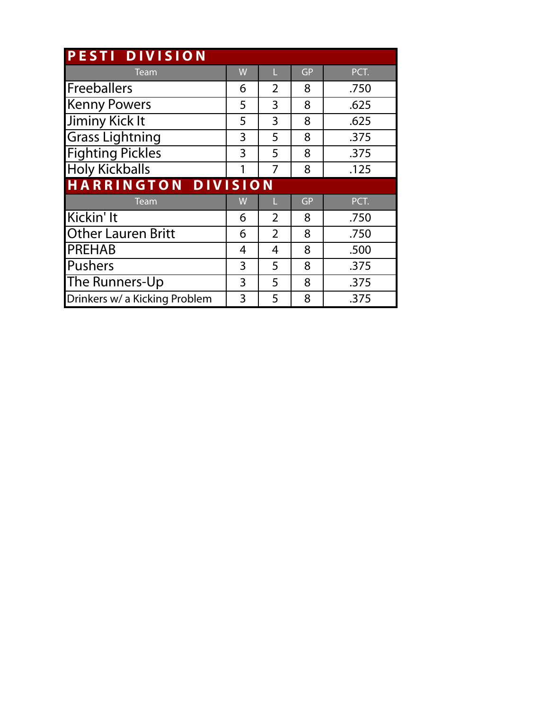| PESTI DIVISION                |   |                |           |      |  |  |  |  |  |  |
|-------------------------------|---|----------------|-----------|------|--|--|--|--|--|--|
| Team                          | W | п              | <b>GP</b> | PCT. |  |  |  |  |  |  |
| <b>Freeballers</b>            | 6 | $\overline{2}$ | 8         | .750 |  |  |  |  |  |  |
| <b>Kenny Powers</b>           | 5 | 3              | 8         | .625 |  |  |  |  |  |  |
| Jiminy Kick It                | 5 | 3              | 8         | .625 |  |  |  |  |  |  |
| <b>Grass Lightning</b>        | 3 | 5              | 8         | .375 |  |  |  |  |  |  |
| <b>Fighting Pickles</b>       | 3 | 5              | 8         | .375 |  |  |  |  |  |  |
| <b>Holy Kickballs</b>         | 1 | 7              | 8         | .125 |  |  |  |  |  |  |
| HARRINGTON DIVISION           |   |                |           |      |  |  |  |  |  |  |
| <b>Team</b>                   | W | н              | <b>GP</b> | PCT. |  |  |  |  |  |  |
| Kickin' It                    | 6 | $\overline{2}$ | 8         | .750 |  |  |  |  |  |  |
| <b>Other Lauren Britt</b>     | 6 | $\overline{2}$ | 8         | .750 |  |  |  |  |  |  |
| <b>PREHAB</b>                 | 4 | 4              | 8         | .500 |  |  |  |  |  |  |
| Pushers                       | 3 | 5              | 8         | .375 |  |  |  |  |  |  |
| The Runners-Up                | 3 | 5              | 8         | .375 |  |  |  |  |  |  |
| Drinkers w/ a Kicking Problem | 3 | 5              | 8         | .375 |  |  |  |  |  |  |